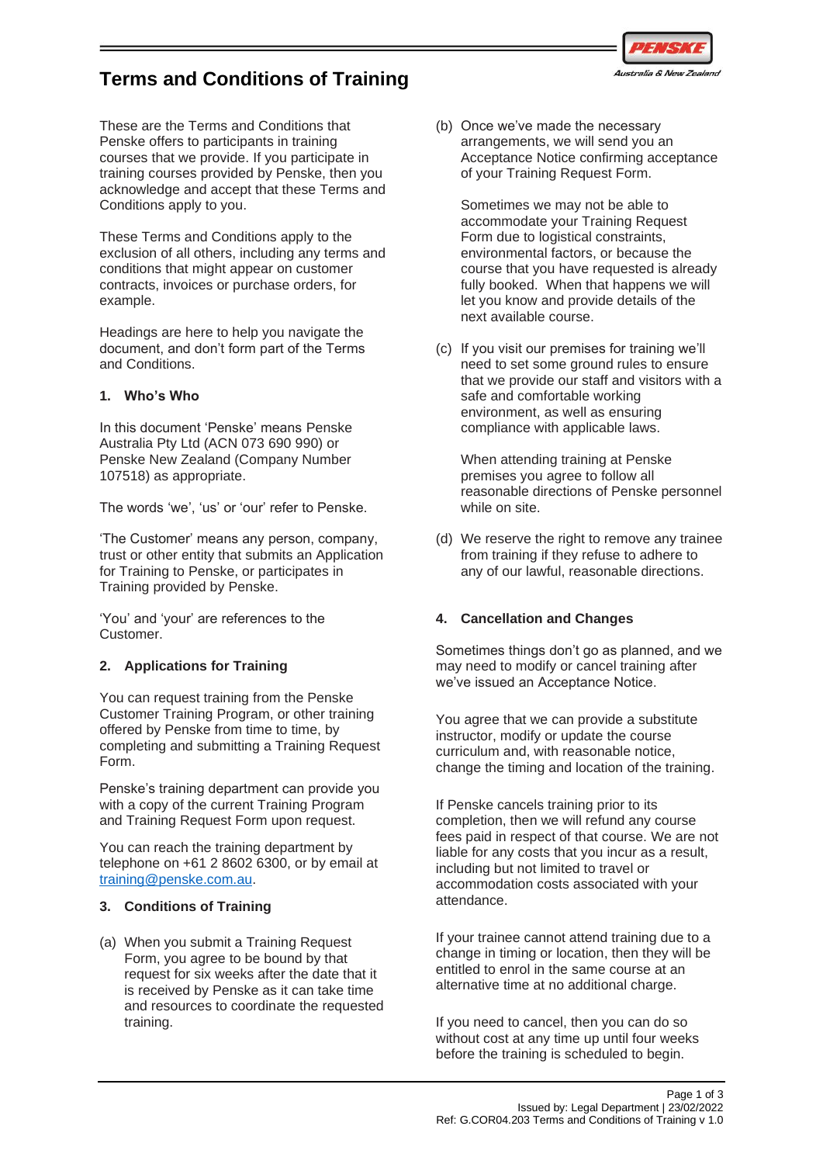

# **Terms and Conditions of Training**

These are the Terms and Conditions that Penske offers to participants in training courses that we provide. If you participate in training courses provided by Penske, then you acknowledge and accept that these Terms and Conditions apply to you.

These Terms and Conditions apply to the exclusion of all others, including any terms and conditions that might appear on customer contracts, invoices or purchase orders, for example.

Headings are here to help you navigate the document, and don't form part of the Terms and Conditions.

## **1. Who's Who**

In this document 'Penske' means Penske Australia Pty Ltd (ACN 073 690 990) or Penske New Zealand (Company Number 107518) as appropriate.

The words 'we', 'us' or 'our' refer to Penske.

'The Customer' means any person, company, trust or other entity that submits an Application for Training to Penske, or participates in Training provided by Penske.

'You' and 'your' are references to the Customer.

# **2. Applications for Training**

You can request training from the Penske Customer Training Program, or other training offered by Penske from time to time, by completing and submitting a Training Request Form.

Penske's training department can provide you with a copy of the current Training Program and Training Request Form upon request.

You can reach the training department by telephone on +61 2 8602 6300, or by email at [training@penske.com.au.](mailto:training@penske.com.au)

### **3. Conditions of Training**

(a) When you submit a Training Request Form, you agree to be bound by that request for six weeks after the date that it is received by Penske as it can take time and resources to coordinate the requested training.

(b) Once we've made the necessary arrangements, we will send you an Acceptance Notice confirming acceptance of your Training Request Form.

Sometimes we may not be able to accommodate your Training Request Form due to logistical constraints. environmental factors, or because the course that you have requested is already fully booked. When that happens we will let you know and provide details of the next available course.

(c) If you visit our premises for training we'll need to set some ground rules to ensure that we provide our staff and visitors with a safe and comfortable working environment, as well as ensuring compliance with applicable laws.

When attending training at Penske premises you agree to follow all reasonable directions of Penske personnel while on site.

(d) We reserve the right to remove any trainee from training if they refuse to adhere to any of our lawful, reasonable directions.

# **4. Cancellation and Changes**

Sometimes things don't go as planned, and we may need to modify or cancel training after we've issued an Acceptance Notice.

You agree that we can provide a substitute instructor, modify or update the course curriculum and, with reasonable notice, change the timing and location of the training.

If Penske cancels training prior to its completion, then we will refund any course fees paid in respect of that course. We are not liable for any costs that you incur as a result, including but not limited to travel or accommodation costs associated with your attendance.

If your trainee cannot attend training due to a change in timing or location, then they will be entitled to enrol in the same course at an alternative time at no additional charge.

If you need to cancel, then you can do so without cost at any time up until four weeks before the training is scheduled to begin.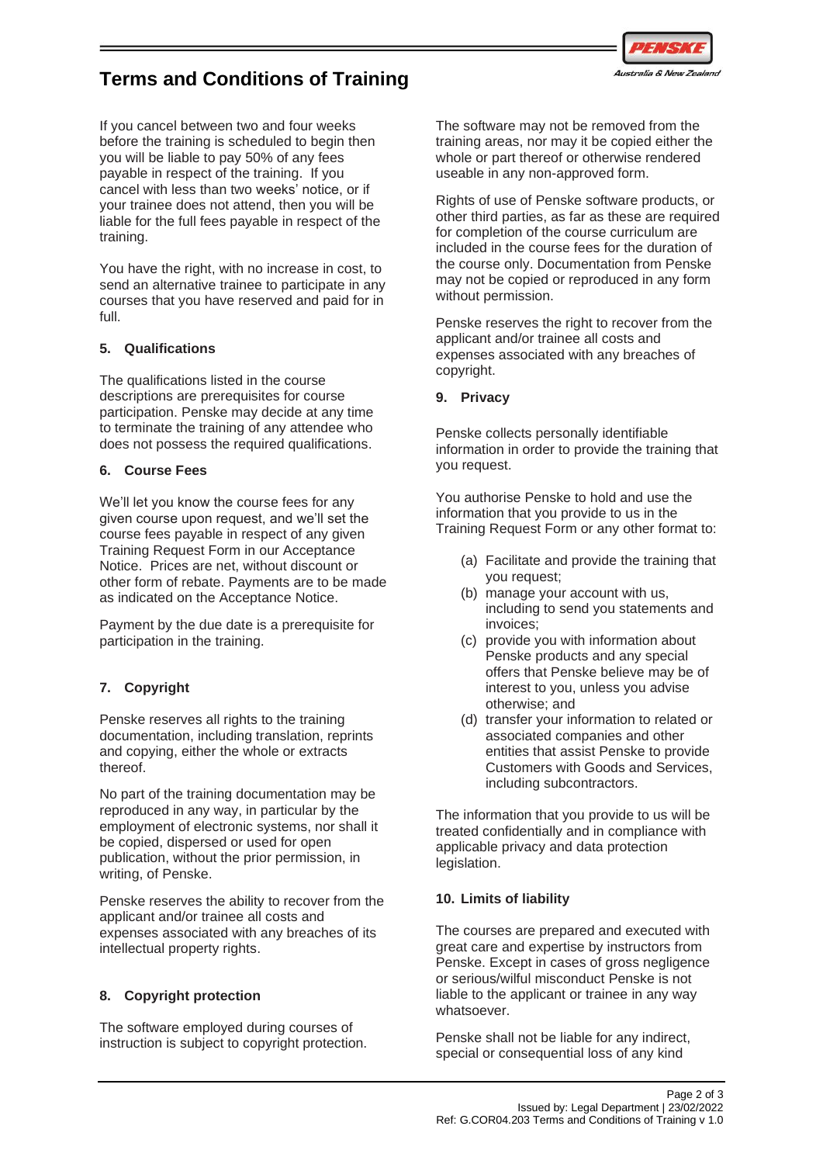

# **Terms and Conditions of Training**

If you cancel between two and four weeks before the training is scheduled to begin then you will be liable to pay 50% of any fees payable in respect of the training. If you cancel with less than two weeks' notice, or if your trainee does not attend, then you will be liable for the full fees payable in respect of the training.

You have the right, with no increase in cost, to send an alternative trainee to participate in any courses that you have reserved and paid for in full.

## **5. Qualifications**

The qualifications listed in the course descriptions are prerequisites for course participation. Penske may decide at any time to terminate the training of any attendee who does not possess the required qualifications.

## **6. Course Fees**

We'll let you know the course fees for any given course upon request, and we'll set the course fees payable in respect of any given Training Request Form in our Acceptance Notice. Prices are net, without discount or other form of rebate. Payments are to be made as indicated on the Acceptance Notice.

Payment by the due date is a prerequisite for participation in the training.

# **7. Copyright**

Penske reserves all rights to the training documentation, including translation, reprints and copying, either the whole or extracts thereof.

No part of the training documentation may be reproduced in any way, in particular by the employment of electronic systems, nor shall it be copied, dispersed or used for open publication, without the prior permission, in writing, of Penske.

Penske reserves the ability to recover from the applicant and/or trainee all costs and expenses associated with any breaches of its intellectual property rights.

# **8. Copyright protection**

The software employed during courses of instruction is subject to copyright protection. The software may not be removed from the training areas, nor may it be copied either the whole or part thereof or otherwise rendered useable in any non-approved form.

Rights of use of Penske software products, or other third parties, as far as these are required for completion of the course curriculum are included in the course fees for the duration of the course only. Documentation from Penske may not be copied or reproduced in any form without permission.

Penske reserves the right to recover from the applicant and/or trainee all costs and expenses associated with any breaches of copyright.

### **9. Privacy**

Penske collects personally identifiable information in order to provide the training that you request.

You authorise Penske to hold and use the information that you provide to us in the Training Request Form or any other format to:

- (a) Facilitate and provide the training that you request;
- (b) manage your account with us, including to send you statements and invoices;
- (c) provide you with information about Penske products and any special offers that Penske believe may be of interest to you, unless you advise otherwise; and
- (d) transfer your information to related or associated companies and other entities that assist Penske to provide Customers with Goods and Services, including subcontractors.

The information that you provide to us will be treated confidentially and in compliance with applicable privacy and data protection legislation.

### **10. Limits of liability**

The courses are prepared and executed with great care and expertise by instructors from Penske. Except in cases of gross negligence or serious/wilful misconduct Penske is not liable to the applicant or trainee in any way whatsoever.

Penske shall not be liable for any indirect, special or consequential loss of any kind